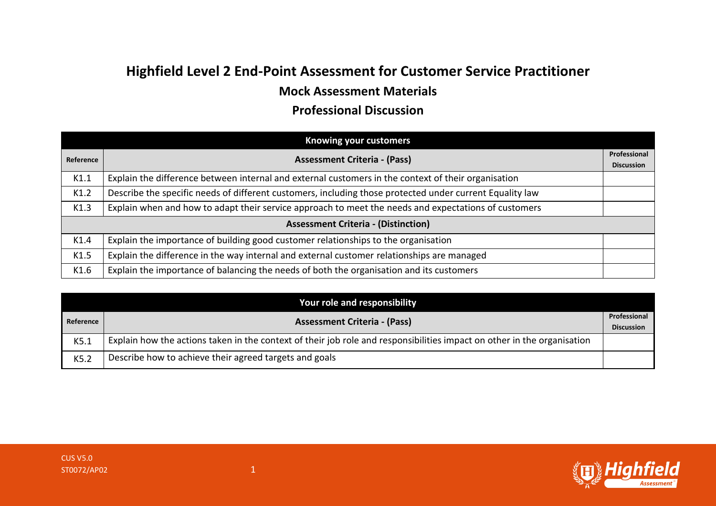## **Highfield Level 2 End-Point Assessment for Customer Service Practitioner Mock Assessment Materials**

## **Professional Discussion**

| <b>Knowing your customers</b>              |                                                                                                          |                                   |  |  |
|--------------------------------------------|----------------------------------------------------------------------------------------------------------|-----------------------------------|--|--|
| Reference                                  | <b>Assessment Criteria - (Pass)</b>                                                                      | Professional<br><b>Discussion</b> |  |  |
| K1.1                                       | Explain the difference between internal and external customers in the context of their organisation      |                                   |  |  |
| K1.2                                       | Describe the specific needs of different customers, including those protected under current Equality law |                                   |  |  |
| K1.3                                       | Explain when and how to adapt their service approach to meet the needs and expectations of customers     |                                   |  |  |
| <b>Assessment Criteria - (Distinction)</b> |                                                                                                          |                                   |  |  |
| K1.4                                       | Explain the importance of building good customer relationships to the organisation                       |                                   |  |  |
| K1.5                                       | Explain the difference in the way internal and external customer relationships are managed               |                                   |  |  |
| K1.6                                       | Explain the importance of balancing the needs of both the organisation and its customers                 |                                   |  |  |

| Your role and responsibility |                                                                                                                         |                   |  |
|------------------------------|-------------------------------------------------------------------------------------------------------------------------|-------------------|--|
| Reference                    | <b>Assessment Criteria - (Pass)</b>                                                                                     | Professional      |  |
|                              |                                                                                                                         | <b>Discussion</b> |  |
| K5.1                         | Explain how the actions taken in the context of their job role and responsibilities impact on other in the organisation |                   |  |
| K5.2                         | Describe how to achieve their agreed targets and goals                                                                  |                   |  |